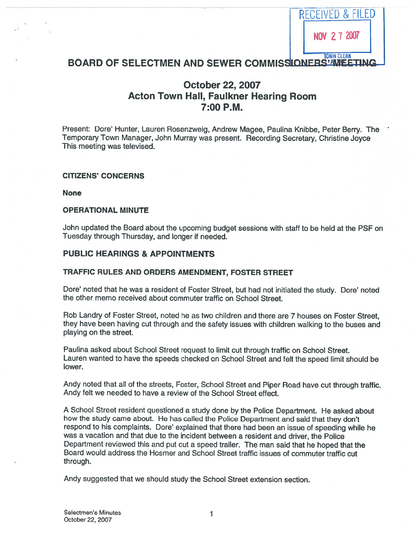

## BOARD OF SELECTMEN AND SEWER COMMISSIONERS' AMEETING

# October 22, 2007 Acton Town Hall, Faulkner Hearing Room 7:00 P.M.

Present: Dore' Hunter, Lauren Rosenzweig, Andrew Magee, Paulina Knibbe, Peter Berry. The Temporary Town Manager, John Murray was present. Recording Secretary, Christine Joyce This meeting was televised.

### CITIZENS' CONCERNS

None

### OPERATIONAL MINUTE

John updated the Board about the upcoming budget sessions with staff to be held at the PSF on Tuesday through Thursday, and longer if needed.

## PUBLIC HEARINGS & APPOINTMENTS

### TRAFFIC RULES AND ORDERS AMENDMENT, FOSTER STREET

Dote' noted that he was <sup>a</sup> resident of Foster Street, but had not initiated the study. Dote' noted the other memo received about commuter traffic on School Street.

Rob Landry of Foster Street, noted he as two children and there are 7 houses on Foster Street, they have been having cut through and the safety issues with children walking to the buses and playing on the street.

Paulina asked about School Street reques<sup>t</sup> to limit cut through traffic on School Street. Lauren wanted to have the speeds checked on School Street and felt the spee<sup>d</sup> limit should be lower.

Andy noted that all of the streets, Foster, School Street and Piper Road have cut through traffic. Andy felt we needed to have <sup>a</sup> review of the School Street effect.

<sup>A</sup> School Street resident questioned <sup>a</sup> study done by the Police Department. He asked about how the study came about. He has called the Police Department and said that they don't respond to his complaints. Dore' explained that there had been an issue of speeding while he was <sup>a</sup> vacation and that due to the incident between <sup>a</sup> resident and driver, the Police Department reviewed this and pu<sup>t</sup> out <sup>a</sup> spee<sup>d</sup> trailer. The man said that he hoped that the Board would address the Hosmer and School Street traffic issues of commuter traffic cut through.

Andy suggested that we should study the School Street extension section.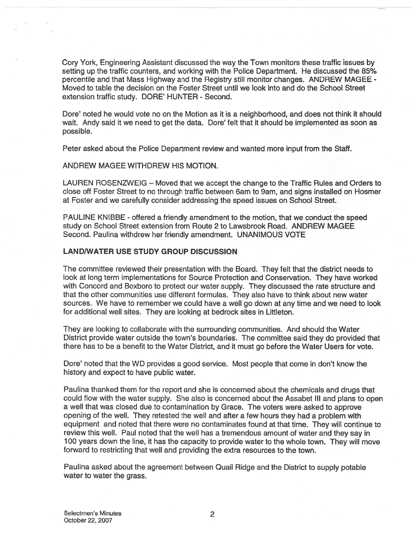Cory York, Engineering Assistant discussed the way the Town monitors these traffic issues by setting up the traffic counters, and working with the Police Department. He discussed the 85% percentile and that Mass Highway and the Registry still monitor changes. ANDREW MAGEE - Moved to table the decision on the Foster Street until we look into and do the School Street extension traffic study. DORE' HUNTER - Second.

Dore' noted he would vote no on the Motion as it is <sup>a</sup> neighborhood, and does not think it should wait. Andy said it we need to ge<sup>t</sup> the data. Dore' felt that it should be implemented as soon as possible.

Peter asked about the Police Department review and wanted more input from the Staff.

### ANDREW MAGEE WITHDREW HIS MOTION.

LAUREN ROSENZWEIG — Moved that we accep<sup>t</sup> the change to the Traffic Rules and Orders to close off Foster Street to no through traffic between 6am to 9am, and signs installed on Hosmer at Foster and we carefully consider addressing the speed issues on School Street.

PAULINE KNIBBE - offered a friendly amendment to the motion, that we conduct the speed study on School Street extension from Route 2 to Lawsbrook Road. ANDREW MAGEE Second. Paulina withdrew her friendly amendment. UNANIMOUS VOTE

## LAND/WATER USE STUDY GROUP DISCUSSION

The committee reviewed their presentation with the Board. They felt that the district needs to look at long term implementations for Source Protection and Conservation. They have worked with Concord and Boxboro to protect our water supply. They discussed the rate structure and that the other communities use different formulas. They also have to think about new water sources. We have to remember we could have <sup>a</sup> well go down at any time and we need to look for additional well sites. They are looking at bedrock sites in Liffleton.

They are looking to collaborate with the surrounding communities. And should the Water District provide water outside the town's boundaries. The committee said they do provided that there has to be <sup>a</sup> benefit to the Water District, and it must go before the Water Users for vote.

Dote' noted that the WD provides <sup>a</sup> good service. Most people that come in don't know the history and expec<sup>t</sup> to have public water.

Paulina thanked them for the repor<sup>t</sup> and she is concerned about the chemicals and drugs that could flow with the water supply. She also is concerned about the Assabet Ill and <sup>p</sup>lans to open <sup>a</sup> well that was closed due to contamination by Grace. The voters were asked to approve opening of the well. They retested the well and after <sup>a</sup> few hours they had <sup>a</sup> problem with equipment and noted that there were no contaminates found at that time. They will continue to review this well. Paul noted that the well has <sup>a</sup> tremendous amount of water and they say in 100 years down the line, it has the capacity to provide water to the whole town. They will move forward to restricting that well and providing the extra resources to the town.

Paulina asked about the agreemen<sup>t</sup> between Quail Ridge and the District to supply potable water to water the grass.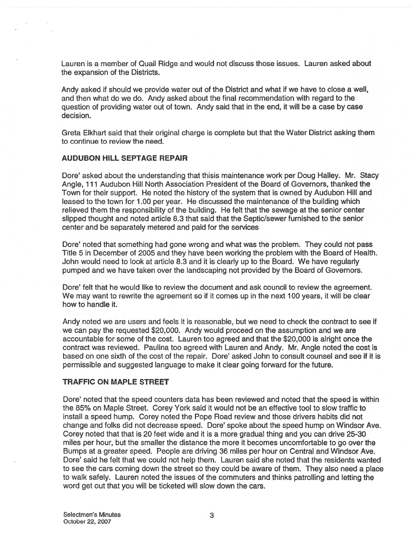Lauren is <sup>a</sup> member of Quail Ridge and would not discuss those issues. Lauren asked about the expansion of the Districts.

Andy asked if should we provide water out of the District and what if we have to close <sup>a</sup> well, and then what do we do. Andy asked about the final recommendation with regard to the question of providing water out of town. Andy said that in the end, it will be <sup>a</sup> case by case decision.

Greta Elkhart said that their original charge is complete but that the Water District asking them to continue to review the need.

### AUDUBON HILL SEPTAGE REPAIR

Dore' asked about the understanding that thisis maintenance work per Doug Halley. Mr. Stacy Angle, 1 11 Audubon Hill North Association President of the Board of Governors, thanked the Town for their support. He noted the history of the system that is owned by Audubon Hill and leased to the town for 1.00 per year. He discussed the maintenance of the building which relieved them the responsibility of the building. He felt that the sewage at the senior center slipped thought and noted article 8.3 that said that the Septic/sewer furnished to the senior center and be separately metered and paid for the services

Dore' noted that something had gone wrong and what was the problem. They could not pass Title 5 in December of 2005 and they have been working the problem with the Board of Health. John would need to look at article 8.3 and it is clearly up to the Board. We have regularly pumped and we have taken over the landscaping not provided by the Board of Governors.

Dore' felt that he would like to review the document and ask council to review the agreement. We may want to rewrite the agreemen<sup>t</sup> so if it comes up in the next 100 years, it will be clear how to handle it.

Andy noted we are users and feels it is reasonable, but we need to check the contract to see if we can pay the requested \$20,000. Andy would proceed on the assumption and we are accountable for some of the cost. Lauren too agreed and that the \$20,000 is alright once the contract was reviewed. Paulina too agreed with Lauren and Andy. Mr. Angle noted the cost is based on one sixth of the cost of the repair. Dore' asked John to consult counsel and see if it is permissible and suggested language to make it clear going forward for the future.

### TRAFFIC ON MAPLE STREET

Dore' noted that the speed counters data has been reviewed and noted that the speed is within the 85% on Maple Street. Corey York said it would not be an effective tool to slow traffic to install <sup>a</sup> speed hump. Corey noted the Pope Road review and those drivers habits did not change and folks did not decrease speed. Dore' spoke about the speed hump on Windsor Ave. Corey noted that that is 20 feet wide and it is <sup>a</sup> more gradual thing and you can drive 25-30 miles per hour, but the smaller the distance the more it becomes uncomfortable to go over the Bumps at <sup>a</sup> greater speed. People are driving 36 miles per hour on Central and Windsor Ave. Dore' said he felt that we could not help them. Lauren said she noted that the residents wanted to see the cars coming down the street so they could be aware of them. They also need <sup>a</sup> place to walk safely. Lauren noted the issues of the commuters and thinks patrolling and letting the word ge<sup>t</sup> out that you will be ticketed will slow down the cars.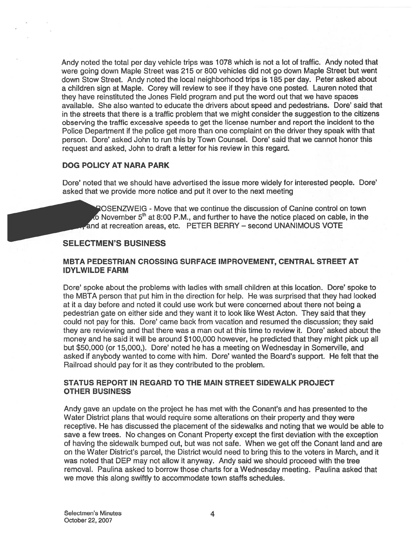Andy noted the total per day vehicle trips was 1078 which is not <sup>a</sup> lot of traffic. Andy noted that were going down Maple Street was 275 or 800 vehicles did not go down Maple Street but went down Stow Street. Andy noted the local neighborhood trips is 785 per day. Peter asked about <sup>a</sup> children sign at Maple. Corey will review to see if they have one posted. Lauren noted that they have reinstituted the Jones Field program and pu<sup>t</sup> the word out that we have spaces available. She also wanted to educate the drivers about speed and pedestrians. Dore' said that in the streets that there is <sup>a</sup> traffic problem that we might consider the suggestion to the citizens observing the traffic excessive speeds to ge<sup>t</sup> the license number and repor<sup>t</sup> the incident to the Police Department if the police ge<sup>t</sup> more than one complaint on the driver they speak with that person. Dore' asked John to run this by Town Counsel. Dore' said that we cannot honor this reques<sup>t</sup> and asked, John to draft <sup>a</sup> letter for his review in this regard.

## DOG POLICY AT NARA PARK

Dote' noted that we should have advertised the issue more widely for interested people. Dote' asked that we provide more notice and pu<sup>t</sup> it over to the next meeting

OSENZWEIG - Move that we continue the discussion of Canine control on town  $\lambda$  November 5<sup>th</sup> at 8:00 P.M., and further to have the notice placed on cable, in the and at recreation areas, etc. PETER BERRY — second UNANIMOUS VOTE

## SELECTMEN'S BUSINESS

## META PEDESTRIAN CROSSING SURFACE IMPROVEMENT, CENTRAL STREET AT IDYLWILDE FARM

Dore' spoke about the problems with ladies with small children at this location. Dore' spoke to the MBTA person that pu<sup>t</sup> him in the direction for help. He was surprised that they had looked at it <sup>a</sup> day before and noted it could use work but were concerned about there not being <sup>a</sup> pedestrian gate on either side and they want it to look like West Acton. They said that they could not pay for this. Dore' came back from vacation and resumed the discussion; they said they are reviewing and that there was <sup>a</sup> man out at this time to review it. Dote' asked about the money and he said it will be around \$100,000 however, he predicted that they might pick up all but \$50,000 (or 15,000,). Dore' noted he has a meeting on Wednesday in Somerville, and asked if anybody wanted to come with him. Dore' wanted the Board's support. He felt that the Railroad should pay for it as they contributed to the problem.

## STATUS REPORT IN REGARD TO THE MAIN STREET SIDEWALK PROJECT OTHER BUSINESS

Andy gave an update on the project he has met with the Conant's and has presented to the Water District plans that would require some alterations on their property and they were receptive. He has discussed the placement of the sidewalks and noting that we would be able to save <sup>a</sup> few trees. No changes on Conant Property excep<sup>t</sup> the first deviation with the exception of having the sidewalk bumped out, but was not safe. When we ge<sup>t</sup> off the Conant land and are on the Water District's parcel, the District would need to bring this to the voters in March, and it was noted that DEP may not allow it anyway. Andy said we should proceed with the tree removal. Paulina asked to borrow those charts for <sup>a</sup> Wednesday meeting. Paulina asked that we move this along swiftly to accommodate town staffs schedules.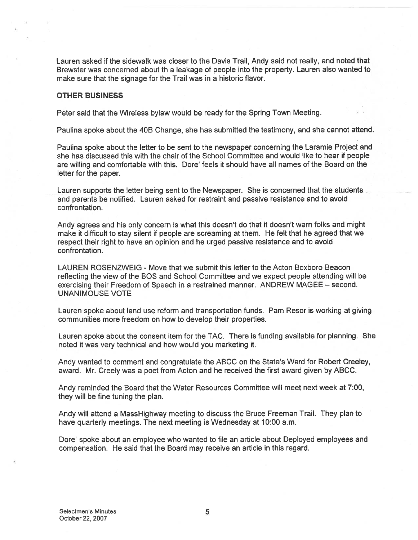Lauren asked if the sidewalk was closer to the Davis Trail, Andy said not really, and noted that Brewster was concerned about th <sup>a</sup> leakage of people into the property. Lauren also wanted to make sure that the signage for the Trail was in <sup>a</sup> historic flavor.

### OTHER BUSINESS

Peter said that the Wireless bylaw would be ready for the Spring Town Meeting.

Paulina spoke about the 4DB Change, she has submitted the testimony, and she cannot attend.

Paulina spoke about the letter to be sent to the newspaper concerning the Laramie Project and she has discussed this with the chair of the School Committee and would like to hear if people are willing and comfortable with this. Dore' feels it should have all names of the Board on the letter for the paper.

Lauren supports the letter being sent to the Newspaper. She is concerned that the students and parents be notified. Lauren asked for restraint and passive resistance and to avoid confrontation.

Andy agrees and his only concern is what this doesn't do that it doesn't warn folks and might make it difficult to stay silent if people are screaming at them. He felt that he agreed that we respec<sup>t</sup> their right to have an opinion and he urged passive resistance and to avoid confrontation.

LAUREN ROSENZWEIG - Move that we submit this letter to the Acton Boxboro Beacon reflecting the view of the BOS and School Committee and we expec<sup>t</sup> people attending will be exercising their Freedom of Speech in <sup>a</sup> restrained manner. ANDREW MAGEE — second. UNANIMOUSE VOTE

Lauren spoke about land use reform and transportation funds. Pam Resor is working at giving communities more freedom on how to develop their properties.

Lauren spoke about the consent item for the TAC. There is funding available for planning. She noted it was very technical and how would you marketing it.

Andy wanted to comment and congratulate the ABCC on the State's Ward for Robert Creeley, award. Mr. Creely was <sup>a</sup> poe<sup>t</sup> from Acton and he received the first award given by ABCC.

Andy reminded the Board that the Water Resources Committee will meet next week at 7:00, they will be fine tuning the plan.

Andy will attend <sup>a</sup> MassHighway meeting to discuss the Bruce Freeman Trail. They plan to have quarterly meetings. The next meeting is Wednesday at 10:00 a.m.

Dore' spoke about an employee who wanted to file an article about Deployed employees and compensation. He said that the Board may receive an article in this regard.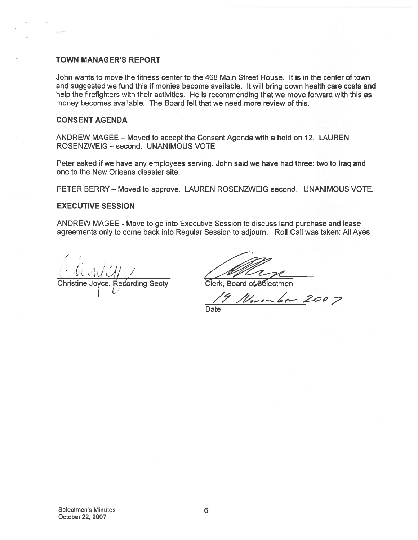#### TOWN MANAGER'S REPORT

John wants to move the fitness center to the 468 Main Street House. It is in the center of town and suggested we fund this if monies become available. It will bring down health care costs and help the firefighters with their activities. He is recommending that we move forward with this as money becomes available. The Board felt that we need more review of this. I MANAGER'S REPORT<br>
Wants to move the fitness center to the 468 Main Street House. It<br>
diggested we fund this if monies become available. It will bring do<br>
the firfighters with their activities. He is recommending that we

## CONSENT AGENDA

ANDREW MAGEE — Moved to accep<sup>t</sup> the Consent Agenda with <sup>a</sup> hold on 12. LAUREN ROSENZWEIG — second. UNANIMOUS VOTE

Peter asked if we have any employees serving. John said we have had three: two to Iraq and one to the New Orleans disaster site.

PETER BERRY — Moved to approve. LAUREN ROSENZWEIG second. UNANIMOUS VOTE.

### EXECUTIVE SESSION

ANDREW MAGEE - Move to go into Executive Session to discuss land purchase and lease agreements only to come back into Regular Session to adjourn. Roll Call was taken: All Ayes

Christine Joyce, Recording Secty

19 November 2007

Date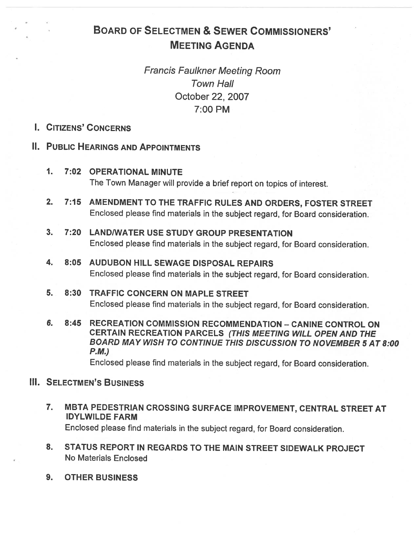# BOARD OF SELECTMEN & SEWER COMMISSIONERS' MEETING AGENDA

Francis Faulkner Meeting Room Town Hall October 22, 2007 7:00 PM

## I. CITIZENS' CONCERNS

## II. PUBLIC HEARINGS AND APPOINTMENTS

- 1. 7:02 OPERATIONAL MINUTE The Town Manager will provide a brief report on topics of interest.
- 2. 7:15 AMENDMENT TO THE TRAFFIC RULES AND ORDERS, FOSTER STREET Enclosed <sup>p</sup>lease find materials in the subject regard, for Board consideration.
- 3. 7:20 LAND/WATER USE STUDY GROUP PRESENTATION Enclosed <sup>p</sup>lease find materials in the subject regard, for Board consideration.
- 4. 8:05 AUDUBON HILL SEWAGE DISPOSAL REPAIRS Enclosed <sup>p</sup>lease find materials in the subject regard, for Board consideration.
- 5. 8:30 TRAFFIC CONCERN ON MAPLE STREET Enclosed <sup>p</sup>lease find materials in the subject regard, for Board consideration.
- 6. 8:45 RECREATION COMMISSION RECOMMENDATION CANINE CONTROL ON CERTAIN RECREATION PARCELS (THIS MEETING WILL OPEN AND THE BOARD MAY WISH TO CONTINUE THIS DISCUSSION TO NOVEMBER 5 AT 8:00 P.M.)

Enclosed <sup>p</sup>lease find materials in the subject regard, for Board consideration.

# **III. SELECTMEN'S BUSINESS**

- 7. MBTA PEDESTRIAN CROSSING SURFACE IMPROVEMENT, CENTRAL STREET AT IDYLWILDE FARM Enclosed <sup>p</sup>lease find materials in the subject regard, for Board consideration.
- 8. STATUS REPORT IN REGARDS TO THE MAIN STREET SIDEWALK PROJECT No Materials Enclosed
- 9. OTHER BUSINESS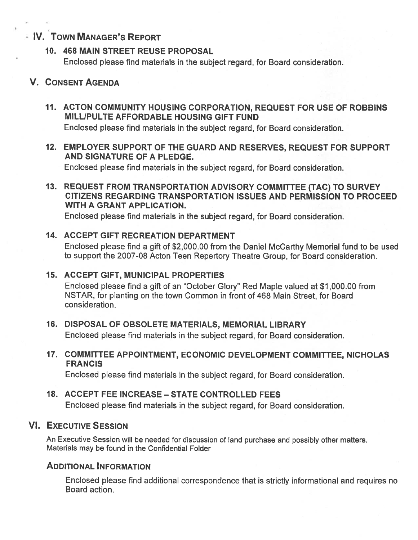# IV. TOWN MANAGER'S REPORT

## 10. 468 MAIN STREET REUSE PROPOSAL

Enclosed <sup>p</sup>lease find materials in the subject regard, for Board consideration.

## V. CONSENT AGENDA

11. ACTON COMMUNITY HOUSING CORPORATION, REQUEST FOR USE OF ROBBINS MILLIPULTE AFFORDABLE HOUSING GIFT FUND

Enclosed please find materials in the subject regard, for Board consideration.

12. EMPLOYER SUPPORT OF THE GUARD AND RESERVES, REQUEST FOR SUPPORT AND SIGNATURE OF A PLEDGE.

Enclosed <sup>p</sup>lease find materials in the subject regard, for Board consideration.

13. REQUEST FROM TRANSPORTATION ADVISORY COMMITTEE (TAC) TO SURVEY CITIZENS REGARDING TRANSPORTATION ISSUES AND PERMISSION TO PROCEED WITH A GRANT APPLICATION.

Enclosed please find materials in the subject regard, for Board consideration.

## 14. ACCEPT GIFT RECREATION DEPARTMENT

Enclosed <sup>p</sup>lease find <sup>a</sup> <sup>g</sup>ift of \$2,000.00 from the Daniel McCarthy Memorial fund to be used to suppor<sup>t</sup> the 2007-08 Acton Teen Repertory Theatre Group, for Board consideration.

## 15. ACCEPT GIFT, MUNICIPAL PROPERTIES

Enclosed <sup>p</sup>lease find <sup>a</sup> gift of an "October Glory" Red Maple valued at \$1,000.00 from NSTAR, for planting on the town Common in front of 468 Main Street, for Board consideration.

16. DISPOSAL OF OBSOLETE MATERIALS, MEMORIAL LIBRARY

Enclosed <sup>p</sup>lease find materials in the subject regard, for Board consideration.

17. COMMITTEE APPOINTMENT, ECONOMIC DEVELOPMENT COMMITTEE, NICHOLAS **FRANCIS** 

Enclosed please find materials in the subject regard, for Board consideration.

# 18. ACCEPT FEE INCREASE — STATE CONTROLLED FEES

Enclosed please find materials in the subject regard, for Board consideration.

# VI. EXECUTIVE SESSION

An Executive Session will be needed for discussion of land purchase and possibly other matters. Materials may be found in the Confidential Folder

# ADDITIONAL INFORMATION

Enclosed <sup>p</sup>lease find additional correspondence that is strictly informational and requires no Board action.